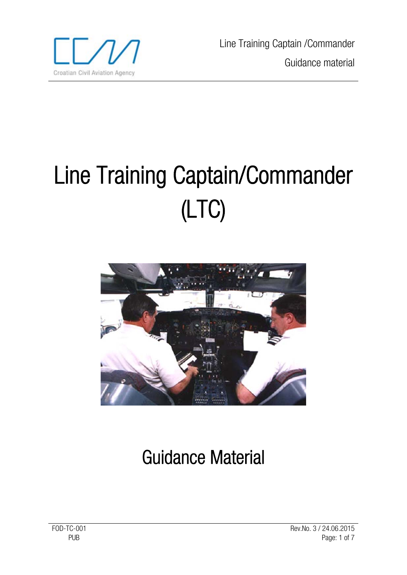

Line Training Captain /Commander Guidance material

# Line Training Captain/Commander (LTC)



# Guidance Material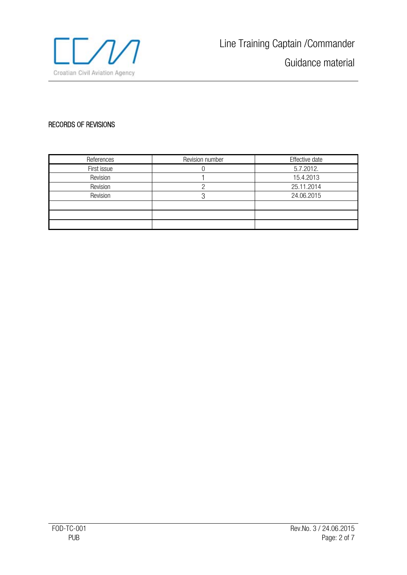

# RECORDS OF REVISIONS

| References  | Revision number | Effective date |
|-------------|-----------------|----------------|
| First issue |                 | 5.7.2012.      |
| Revision    |                 | 15.4.2013      |
| Revision    |                 | 25.11.2014     |
| Revision    |                 | 24.06.2015     |
|             |                 |                |
|             |                 |                |
|             |                 |                |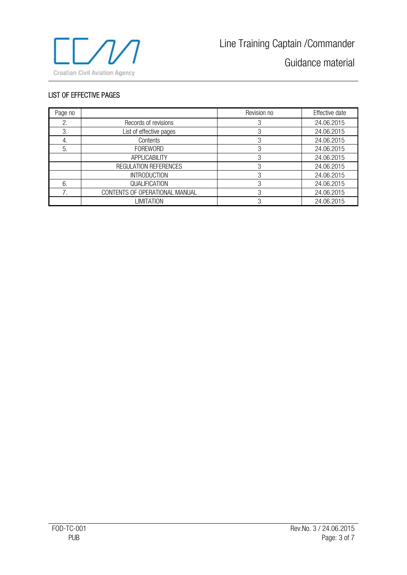

Guidance material

#### LIST OF EFFECTIVE PAGES

| Page no |                                | Revision no | Effective date |
|---------|--------------------------------|-------------|----------------|
|         | Records of revisions           |             | 24.06.2015     |
| 3.      | List of effective pages        |             | 24.06.2015     |
| 4.      | Contents                       |             | 24.06.2015     |
| 5.      | <b>FOREWORD</b>                |             | 24.06.2015     |
|         | APPLICABILITY                  |             | 24.06.2015     |
|         | REGULATION REFERENCES          |             | 24.06.2015     |
|         | <b>INTRODUCTION</b>            | ∩           | 24.06.2015     |
| 6.      | QUALIFICATION                  | 3           | 24.06.2015     |
|         | CONTENTS OF OPERATIONAL MANUAL |             | 24.06.2015     |
|         | LIMITATION                     |             | 24.06.2015     |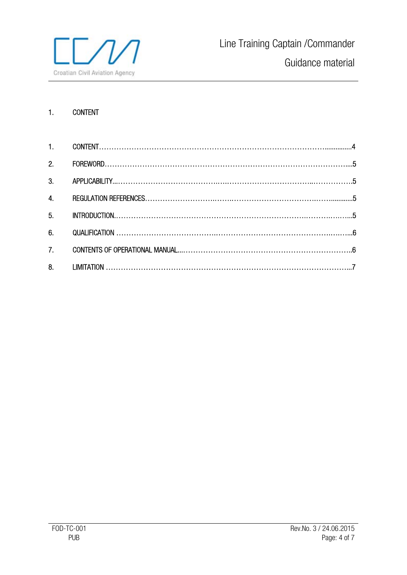

# 1. CONTENT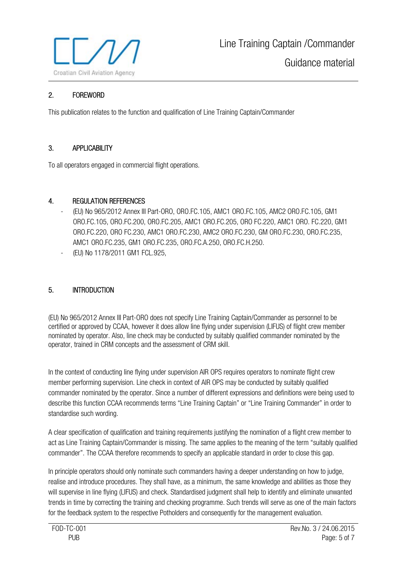

# 2. FOREWORD

This publication relates to the function and qualification of Line Training Captain/Commander

### 3. APPLICABILITY

To all operators engaged in commercial flight operations.

#### 4. REGULATION REFERENCES

- (EU) No 965/2012 Annex III Part-ORO, ORO.FC.105, AMC1 ORO.FC.105, AMC2 ORO.FC.105, GM1 ORO.FC.105, ORO.FC.200, ORO.FC.205, AMC1 ORO.FC.205, ORO FC.220, AMC1 ORO. FC.220, GM1 ORO.FC.220, ORO FC.230, AMC1 ORO.FC.230, AMC2 ORO.FC.230, GM ORO.FC.230, ORO.FC.235, AMC1 ORO.FC.235, GM1 ORO.FC.235, ORO.FC.A.250, ORO.FC.H.250.
- (EU) No 1178/2011 GM1 FCL.925,

#### 5. INTRODUCTION

(EU) No 965/2012 Annex III Part-ORO does not specify Line Training Captain/Commander as personnel to be certified or approved by CCAA, however it does allow line flying under supervision (LIFUS) of flight crew member nominated by operator. Also, line check may be conducted by suitably qualified commander nominated by the operator, trained in CRM concepts and the assessment of CRM skill.

In the context of conducting line flying under supervision AIR OPS requires operators to nominate flight crew member performing supervision. Line check in context of AIR OPS may be conducted by suitably qualified commander nominated by the operator. Since a number of different expressions and definitions were being used to describe this function CCAA recommends terms "Line Training Captain" or "Line Training Commander" in order to standardise such wording.

A clear specification of qualification and training requirements justifying the nomination of a flight crew member to act as Line Training Captain/Commander is missing. The same applies to the meaning of the term "suitably qualified commander". The CCAA therefore recommends to specify an applicable standard in order to close this gap.

In principle operators should only nominate such commanders having a deeper understanding on how to judge, realise and introduce procedures. They shall have, as a minimum, the same knowledge and abilities as those they will supervise in line flying (LIFUS) and check. Standardised judgment shall help to identify and eliminate unwanted trends in time by correcting the training and checking programme. Such trends will serve as one of the main factors for the feedback system to the respective Potholders and consequently for the management evaluation.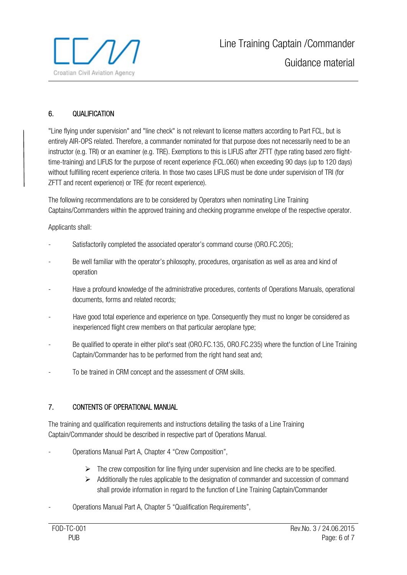

# 6. QUALIFICATION

"Line flying under supervision" and "line check" is not relevant to license matters according to Part FCL, but is entirely AIR-OPS related. Therefore, a commander nominated for that purpose does not necessarily need to be an instructor (e.g. TRI) or an examiner (e.g. TRE). Exemptions to this is LIFUS after ZFTT (type rating based zero flighttime-training) and LIFUS for the purpose of recent experience (FCL.060) when exceeding 90 days (up to 120 days) without fulfilling recent experience criteria. In those two cases LIFUS must be done under supervision of TRI (for ZFTT and recent experience) or TRE (for recent experience).

The following recommendations are to be considered by Operators when nominating Line Training Captains/Commanders within the approved training and checking programme envelope of the respective operator.

Applicants shall:

- Satisfactorily completed the associated operator's command course (ORO.FC.205);
- Be well familiar with the operator's philosophy, procedures, organisation as well as area and kind of operation
- Have a profound knowledge of the administrative procedures, contents of Operations Manuals, operational documents, forms and related records;
- Have good total experience and experience on type. Consequently they must no longer be considered as inexperienced flight crew members on that particular aeroplane type;
- Be qualified to operate in either pilot's seat (ORO.FC.135, ORO.FC.235) where the function of Line Training Captain/Commander has to be performed from the right hand seat and;
- To be trained in CRM concept and the assessment of CRM skills.

#### 7. CONTENTS OF OPERATIONAL MANUAL

The training and qualification requirements and instructions detailing the tasks of a Line Training Captain/Commander should be described in respective part of Operations Manual.

- Operations Manual Part A, Chapter 4 "Crew Composition",
	- $\triangleright$  The crew composition for line flying under supervision and line checks are to be specified.
	- $\triangleright$  Additionally the rules applicable to the designation of commander and succession of command shall provide information in regard to the function of Line Training Captain/Commander
- Operations Manual Part A, Chapter 5 "Qualification Requirements",